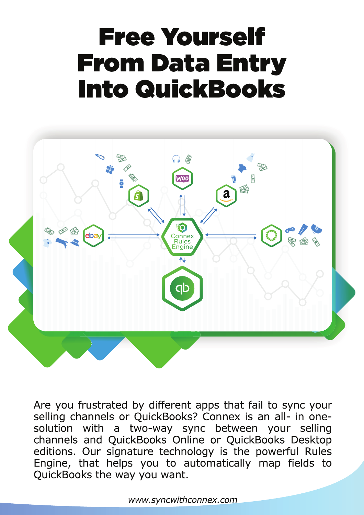# Free Yourself From Data Entry Into QuickBooks



Are you frustrated by different apps that fail to sync your selling channels or QuickBooks? Connex is an all- in onesolution with a two-way sync between your selling<br>channels and QuickBooks Online or QuickBooks Desktop editions. Our signature technology is the powerful Rules Engine, that helps you to automatically map fields to QuickBooks the way you want.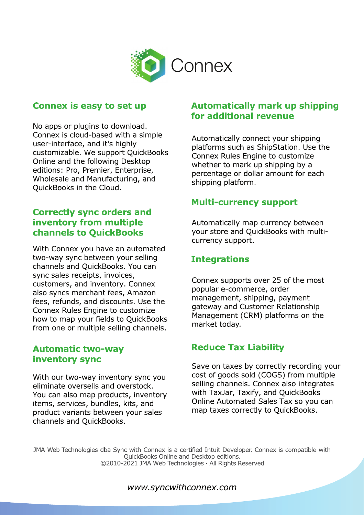

#### **Connex is easy to set up**

No apps or plugins to download. Connex is cloud-based with a simple user-interface, and it's highly customizable. We support QuickBooks Online and the following Desktop editions: Pro, Premier, Enterprise, Wholesale and Manufacturing, and QuickBooks in the Cloud.

#### **Correctly sync orders and** inventory from multiple **channels to QuickBooks**

With Connex you have an automated two-way sync between your selling channels and QuickBooks. You can sync sales receipts, invoices, customers, and inventory. Connex also syncs merchant fees, Amazon fees, refunds, and discounts. Use the Connex Rules Engine to customize how to map your fields to QuickBooks from one or multiple selling channels.

#### **Automatic two-way** inventory sync

With our two-way inventory sync you eliminate oversells and overstock. You can also map products, inventory items, services, bundles, kits, and product variants between your sales channels and QuickBooks.

#### **Automatically mark up shipping** for additional revenue

Automatically connect your shipping platforms such as ShipStation. Use the Connex Rules Engine to customize whether to mark up shipping by a percentage or dollar amount for each shipping platform.

#### **Multi-currency support**

Automatically map currency between your store and QuickBooks with multicurrency support.

#### **Integrations**

Connex supports over 25 of the most popular e-commerce, order management, shipping, payment gateway and Customer Relationship Management (CRM) platforms on the market today.

### **Reduce Tax Liability**

Save on taxes by correctly recording your cost of goods sold (COGS) from multiple selling channels. Connex also integrates with TaxJar, Taxify, and QuickBooks Online Automated Sales Tax so you can map taxes correctly to QuickBooks.

JMA Web Technologies dba Sync with Connex is a certified Intuit Developer. Connex is compatible with QuickBooks Online and Desktop editions. ©2010-2021 JMA Web Technologies · All Rights Reserved

#### www.syncwithconnex.com